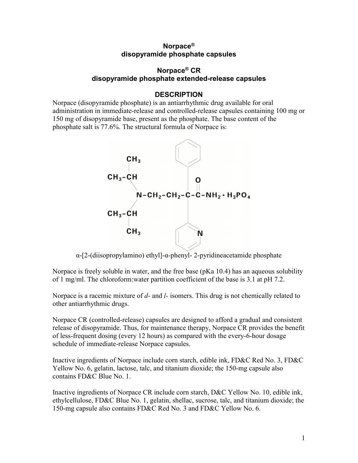## **Norpace® disopyramide phosphate capsules**

# **Norpace® CR disopyramide phosphate extended-release capsules**

# **DESCRIPTION**

Norpace (disopyramide phosphate) is an antiarrhythmic drug available for oral administration in immediate-release and controlled-release capsules containing 100 mg or 150 mg of disopyramide base, present as the phosphate. The base content of the phosphate salt is 77.6%. The structural formula of Norpace is:



α-[2-(diisopropylamino) ethyl]-α-phenyl- 2-pyridineacetamide phosphate

Norpace is freely soluble in water, and the free base (pKa 10.4) has an aqueous solubility of 1 mg/ml. The chloroform:water partition coefficient of the base is 3.1 at pH 7.2.

Norpace is a racemic mixture of *d-* and *l-* isomers. This drug is not chemically related to other antiarrhythmic drugs.

Norpace CR (controlled-release) capsules are designed to afford a gradual and consistent release of disopyramide. Thus, for maintenance therapy, Norpace CR provides the benefit of less-frequent dosing (every 12 hours) as compared with the every-6-hour dosage schedule of immediate-release Norpace capsules.

Inactive ingredients of Norpace include corn starch, edible ink, FD&C Red No. 3, FD&C Yellow No. 6, gelatin, lactose, talc, and titanium dioxide; the 150-mg capsule also contains FD&C Blue No. 1.

Inactive ingredients of Norpace CR include corn starch, D&C Yellow No. 10, edible ink, ethylcellulose, FD&C Blue No. 1, gelatin, shellac, sucrose, talc, and titanium dioxide; the 150-mg capsule also contains FD&C Red No. 3 and FD&C Yellow No. 6.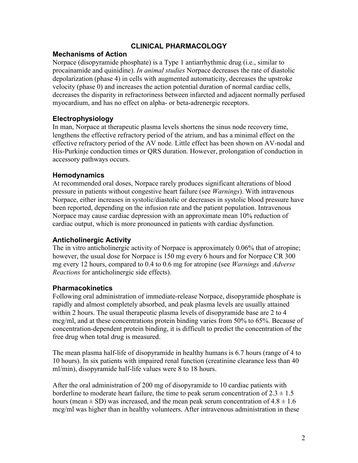# **CLINICAL PHARMACOLOGY**

## **Mechanisms of Action**

Norpace (disopyramide phosphate) is a Type 1 antiarrhythmic drug (i.e., similar to procainamide and quinidine). *In animal studies* Norpace decreases the rate of diastolic depolarization (phase 4) in cells with augmented automaticity, decreases the upstroke velocity (phase 0) and increases the action potential duration of normal cardiac cells, decreases the disparity in refractoriness between infarcted and adjacent normally perfused myocardium, and has no effect on alpha- or beta-adrenergic receptors.

# **Electrophysiology**

In man, Norpace at therapeutic plasma levels shortens the sinus node recovery time, lengthens the effective refractory period of the atrium, and has a minimal effect on the effective refractory period of the AV node. Little effect has been shown on AV-nodal and His-Purkinje conduction times or QRS duration. However, prolongation of conduction in accessory pathways occurs.

# **Hemodynamics**

At recommended oral doses, Norpace rarely produces significant alterations of blood pressure in patients without congestive heart failure (see *Warnings*). With intravenous Norpace, either increases in systolic/diastolic or decreases in systolic blood pressure have been reported, depending on the infusion rate and the patient population. Intravenous Norpace may cause cardiac depression with an approximate mean 10% reduction of cardiac output, which is more pronounced in patients with cardiac dysfunction.

# **Anticholinergic Activity**

The in vitro anticholinergic activity of Norpace is approximately 0.06% that of atropine; however, the usual dose for Norpace is 150 mg every 6 hours and for Norpace CR 300 mg every 12 hours, compared to 0.4 to 0.6 mg for atropine (see *Warnings* and *Adverse Reactions* for anticholinergic side effects).

# **Pharmacokinetics**

Following oral administration of immediate-release Norpace, disopyramide phosphate is rapidly and almost completely absorbed, and peak plasma levels are usually attained within 2 hours. The usual therapeutic plasma levels of disopyramide base are 2 to 4 mcg/ml, and at these concentrations protein binding varies from 50% to 65%. Because of concentration-dependent protein binding, it is difficult to predict the concentration of the free drug when total drug is measured.

The mean plasma half-life of disopyramide in healthy humans is 6.7 hours (range of 4 to 10 hours). In six patients with impaired renal function (creatinine clearance less than 40 ml/min), disopyramide half-life values were 8 to 18 hours.

After the oral administration of 200 mg of disopyramide to 10 cardiac patients with borderline to moderate heart failure, the time to peak serum concentration of  $2.3 \pm 1.5$ hours (mean  $\pm$  SD) was increased, and the mean peak serum concentration of 4.8  $\pm$  1.6 mcg/ml was higher than in healthy volunteers. After intravenous administration in these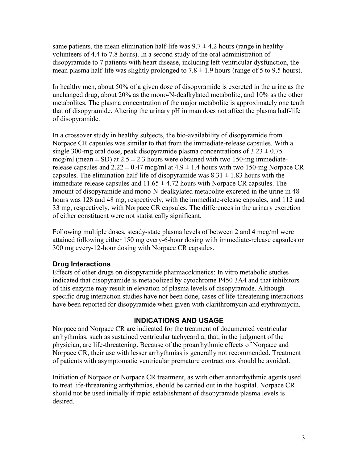same patients, the mean elimination half-life was  $9.7 \pm 4.2$  hours (range in healthy volunteers of 4.4 to 7.8 hours). In a second study of the oral administration of disopyramide to 7 patients with heart disease, including left ventricular dysfunction, the mean plasma half-life was slightly prolonged to  $7.8 \pm 1.9$  hours (range of 5 to 9.5 hours).

In healthy men, about 50% of a given dose of disopyramide is excreted in the urine as the unchanged drug, about 20% as the mono-N-dealkylated metabolite, and 10% as the other metabolites. The plasma concentration of the major metabolite is approximately one tenth that of disopyramide. Altering the urinary pH in man does not affect the plasma half-life of disopyramide.

In a crossover study in healthy subjects, the bio-availability of disopyramide from Norpace CR capsules was similar to that from the immediate-release capsules. With a single 300-mg oral dose, peak disopyramide plasma concentrations of  $3.23 \pm 0.75$ mcg/ml (mean  $\pm$  SD) at 2.5  $\pm$  2.3 hours were obtained with two 150-mg immediaterelease capsules and  $2.22 \pm 0.47$  mcg/ml at  $4.9 \pm 1.4$  hours with two 150-mg Norpace CR capsules. The elimination half-life of disopyramide was  $8.31 \pm 1.83$  hours with the immediate-release capsules and  $11.65 \pm 4.72$  hours with Norpace CR capsules. The amount of disopyramide and mono-N-dealkylated metabolite excreted in the urine in 48 hours was 128 and 48 mg, respectively, with the immediate-release capsules, and 112 and 33 mg, respectively, with Norpace CR capsules. The differences in the urinary excretion of either constituent were not statistically significant.

Following multiple doses, steady-state plasma levels of between 2 and 4 mcg/ml were attained following either 150 mg every-6-hour dosing with immediate-release capsules or 300 mg every-12-hour dosing with Norpace CR capsules.

# **Drug Interactions**

Effects of other drugs on disopyramide pharmacokinetics: In vitro metabolic studies indicated that disopyramide is metabolized by cytochrome P450 3A4 and that inhibitors of this enzyme may result in elevation of plasma levels of disopyramide. Although specific drug interaction studies have not been done, cases of life-threatening interactions have been reported for disopyramide when given with clarithromycin and erythromycin.

# **INDICATIONS AND USAGE**

Norpace and Norpace CR are indicated for the treatment of documented ventricular arrhythmias, such as sustained ventricular tachycardia, that, in the judgment of the physician, are life-threatening. Because of the proarrhythmic effects of Norpace and Norpace CR, their use with lesser arrhythmias is generally not recommended. Treatment of patients with asymptomatic ventricular premature contractions should be avoided.

Initiation of Norpace or Norpace CR treatment, as with other antiarrhythmic agents used to treat life-threatening arrhythmias, should be carried out in the hospital. Norpace CR should not be used initially if rapid establishment of disopyramide plasma levels is desired.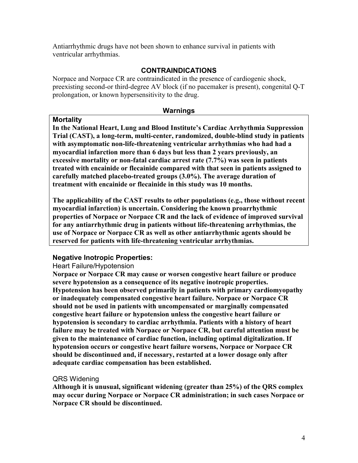Antiarrhythmic drugs have not been shown to enhance survival in patients with ventricular arrhythmias.

# **CONTRAINDICATIONS**

Norpace and Norpace CR are contraindicated in the presence of cardiogenic shock, preexisting second-or third-degree AV block (if no pacemaker is present), congenital Q-T prolongation, or known hypersensitivity to the drug.

## **Warnings**

## **Mortality**

**In the National Heart, Lung and Blood Institute's Cardiac Arrhythmia Suppression Trial (CAST), a long-term, multi-center, randomized, double-blind study in patients with asymptomatic non-life-threatening ventricular arrhythmias who had had a myocardial infarction more than 6 days but less than 2 years previously, an excessive mortality or non-fatal cardiac arrest rate (7.7%) was seen in patients treated with encainide or flecainide compared with that seen in patients assigned to carefully matched placebo-treated groups (3.0%). The average duration of treatment with encainide or flecainide in this study was 10 months.**

**The applicability of the CAST results to other populations (e.g., those without recent myocardial infarction) is uncertain. Considering the known proarrhythmic properties of Norpace or Norpace CR and the lack of evidence of improved survival for any antiarrhythmic drug in patients without life-threatening arrhythmias, the use of Norpace or Norpace CR as well as other antiarrhythmic agents should be reserved for patients with life-threatening ventricular arrhythmias.**

# **Negative Inotropic Properties:**

# Heart Failure/Hypotension

**Norpace or Norpace CR may cause or worsen congestive heart failure or produce severe hypotension as a consequence of its negative inotropic properties. Hypotension has been observed primarily in patients with primary cardiomyopathy or inadequately compensated congestive heart failure. Norpace or Norpace CR should not be used in patients with uncompensated or marginally compensated congestive heart failure or hypotension unless the congestive heart failure or hypotension is secondary to cardiac arrhythmia. Patients with a history of heart failure may be treated with Norpace or Norpace CR, but careful attention must be given to the maintenance of cardiac function, including optimal digitalization. If hypotension occurs or congestive heart failure worsens, Norpace or Norpace CR should be discontinued and, if necessary, restarted at a lower dosage only after adequate cardiac compensation has been established.**

# QRS Widening

**Although it is unusual, significant widening (greater than 25%) of the QRS complex may occur during Norpace or Norpace CR administration; in such cases Norpace or Norpace CR should be discontinued.**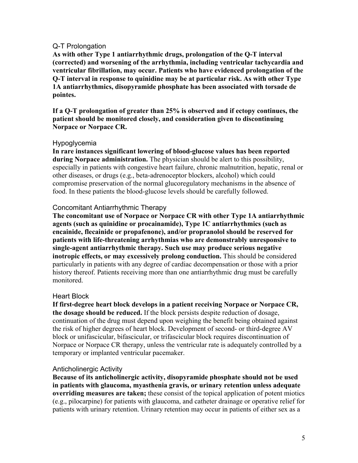## Q-T Prolongation

**As with other Type 1 antiarrhythmic drugs, prolongation of the Q-T interval (corrected) and worsening of the arrhythmia, including ventricular tachycardia and ventricular fibrillation, may occur. Patients who have evidenced prolongation of the Q-T interval in response to quinidine may be at particular risk. As with other Type 1A antiarrhythmics, disopyramide phosphate has been associated with torsade de pointes.**

**If a Q-T prolongation of greater than 25% is observed and if ectopy continues, the patient should be monitored closely, and consideration given to discontinuing Norpace or Norpace CR.**

## Hypoglycemia

**In rare instances significant lowering of blood-glucose values has been reported during Norpace administration.** The physician should be alert to this possibility, especially in patients with congestive heart failure, chronic malnutrition, hepatic, renal or other diseases, or drugs (e.g., beta-adrenoceptor blockers, alcohol) which could compromise preservation of the normal glucoregulatory mechanisms in the absence of food. In these patients the blood-glucose levels should be carefully followed.

## Concomitant Antiarrhythmic Therapy

**The concomitant use of Norpace or Norpace CR with other Type 1A antiarrhythmic agents (such as quinidine or procainamide), Type 1C antiarrhythmics (such as encainide, flecainide or propafenone), and/or propranolol should be reserved for patients with life-threatening arrhythmias who are demonstrably unresponsive to single-agent antiarrhythmic therapy. Such use may produce serious negative inotropic effects, or may excessively prolong conduction.** This should be considered particularly in patients with any degree of cardiac decompensation or those with a prior history thereof. Patients receiving more than one antiarrhythmic drug must be carefully monitored.

#### Heart Block

**If first-degree heart block develops in a patient receiving Norpace or Norpace CR, the dosage should be reduced.** If the block persists despite reduction of dosage, continuation of the drug must depend upon weighing the benefit being obtained against the risk of higher degrees of heart block. Development of second- or third-degree AV block or unifascicular, bifascicular, or trifascicular block requires discontinuation of Norpace or Norpace CR therapy, unless the ventricular rate is adequately controlled by a temporary or implanted ventricular pacemaker.

#### Anticholinergic Activity

**Because of its anticholinergic activity, disopyramide phosphate should not be used in patients with glaucoma, myasthenia gravis, or urinary retention unless adequate overriding measures are taken;** these consist of the topical application of potent miotics (e.g., pilocarpine) for patients with glaucoma, and catheter drainage or operative relief for patients with urinary retention. Urinary retention may occur in patients of either sex as a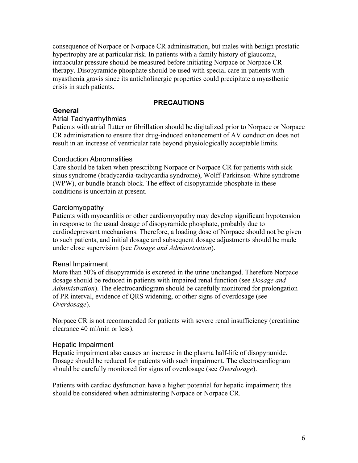consequence of Norpace or Norpace CR administration, but males with benign prostatic hypertrophy are at particular risk. In patients with a family history of glaucoma, intraocular pressure should be measured before initiating Norpace or Norpace CR therapy. Disopyramide phosphate should be used with special care in patients with myasthenia gravis since its anticholinergic properties could precipitate a myasthenic crisis in such patients.

## **PRECAUTIONS**

#### **General**

#### Atrial Tachyarrhythmias

Patients with atrial flutter or fibrillation should be digitalized prior to Norpace or Norpace CR administration to ensure that drug-induced enhancement of AV conduction does not result in an increase of ventricular rate beyond physiologically acceptable limits.

#### Conduction Abnormalities

Care should be taken when prescribing Norpace or Norpace CR for patients with sick sinus syndrome (bradycardia-tachycardia syndrome), Wolff-Parkinson-White syndrome (WPW), or bundle branch block. The effect of disopyramide phosphate in these conditions is uncertain at present.

#### **Cardiomyopathy**

Patients with myocarditis or other cardiomyopathy may develop significant hypotension in response to the usual dosage of disopyramide phosphate, probably due to cardiodepressant mechanisms. Therefore, a loading dose of Norpace should not be given to such patients, and initial dosage and subsequent dosage adjustments should be made under close supervision (see *Dosage and Administration*).

#### Renal Impairment

More than 50% of disopyramide is excreted in the urine unchanged. Therefore Norpace dosage should be reduced in patients with impaired renal function (see *Dosage and Administration*). The electrocardiogram should be carefully monitored for prolongation of PR interval, evidence of QRS widening, or other signs of overdosage (see *Overdosage*).

Norpace CR is not recommended for patients with severe renal insufficiency (creatinine clearance 40 ml/min or less).

#### Hepatic Impairment

Hepatic impairment also causes an increase in the plasma half-life of disopyramide. Dosage should be reduced for patients with such impairment. The electrocardiogram should be carefully monitored for signs of overdosage (see *Overdosage*).

Patients with cardiac dysfunction have a higher potential for hepatic impairment; this should be considered when administering Norpace or Norpace CR.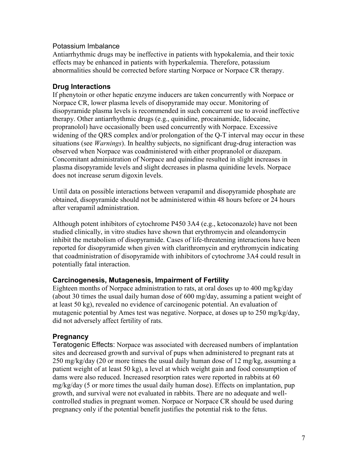## Potassium Imbalance

Antiarrhythmic drugs may be ineffective in patients with hypokalemia, and their toxic effects may be enhanced in patients with hyperkalemia. Therefore, potassium abnormalities should be corrected before starting Norpace or Norpace CR therapy.

## **Drug Interactions**

If phenytoin or other hepatic enzyme inducers are taken concurrently with Norpace or Norpace CR, lower plasma levels of disopyramide may occur. Monitoring of disopyramide plasma levels is recommended in such concurrent use to avoid ineffective therapy. Other antiarrhythmic drugs (e.g., quinidine, procainamide, lidocaine, propranolol) have occasionally been used concurrently with Norpace. Excessive widening of the QRS complex and/or prolongation of the Q-T interval may occur in these situations (see *Warnings*). In healthy subjects, no significant drug-drug interaction was observed when Norpace was coadministered with either propranolol or diazepam. Concomitant administration of Norpace and quinidine resulted in slight increases in plasma disopyramide levels and slight decreases in plasma quinidine levels. Norpace does not increase serum digoxin levels.

Until data on possible interactions between verapamil and disopyramide phosphate are obtained, disopyramide should not be administered within 48 hours before or 24 hours after verapamil administration.

Although potent inhibitors of cytochrome P450 3A4 (e.g., ketoconazole) have not been studied clinically, in vitro studies have shown that erythromycin and oleandomycin inhibit the metabolism of disopyramide. Cases of life-threatening interactions have been reported for disopyramide when given with clarithromycin and erythromycin indicating that coadministration of disopyramide with inhibitors of cytochrome 3A4 could result in potentially fatal interaction.

# **Carcinogenesis, Mutagenesis, Impairment of Fertility**

Eighteen months of Norpace administration to rats, at oral doses up to 400 mg/kg/day (about 30 times the usual daily human dose of 600 mg/day, assuming a patient weight of at least 50 kg), revealed no evidence of carcinogenic potential. An evaluation of mutagenic potential by Ames test was negative. Norpace, at doses up to 250 mg/kg/day, did not adversely affect fertility of rats.

# **Pregnancy**

Teratogenic Effects: Norpace was associated with decreased numbers of implantation sites and decreased growth and survival of pups when administered to pregnant rats at  $250 \text{ mg/kg/day}$  (20 or more times the usual daily human dose of 12 mg/kg, assuming a patient weight of at least 50 kg), a level at which weight gain and food consumption of dams were also reduced. Increased resorption rates were reported in rabbits at 60 mg/kg/day (5 or more times the usual daily human dose). Effects on implantation, pup growth, and survival were not evaluated in rabbits. There are no adequate and wellcontrolled studies in pregnant women. Norpace or Norpace CR should be used during pregnancy only if the potential benefit justifies the potential risk to the fetus.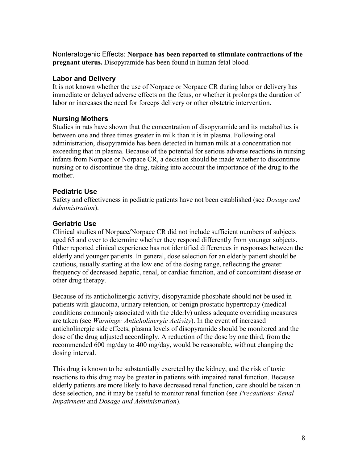Nonteratogenic Effects: **Norpace has been reported to stimulate contractions of the pregnant uterus.** Disopyramide has been found in human fetal blood.

# **Labor and Delivery**

It is not known whether the use of Norpace or Norpace CR during labor or delivery has immediate or delayed adverse effects on the fetus, or whether it prolongs the duration of labor or increases the need for forceps delivery or other obstetric intervention.

# **Nursing Mothers**

Studies in rats have shown that the concentration of disopyramide and its metabolites is between one and three times greater in milk than it is in plasma. Following oral administration, disopyramide has been detected in human milk at a concentration not exceeding that in plasma. Because of the potential for serious adverse reactions in nursing infants from Norpace or Norpace CR, a decision should be made whether to discontinue nursing or to discontinue the drug, taking into account the importance of the drug to the mother.

# **Pediatric Use**

Safety and effectiveness in pediatric patients have not been established (see *Dosage and Administration*).

# **Geriatric Use**

Clinical studies of Norpace/Norpace CR did not include sufficient numbers of subjects aged 65 and over to determine whether they respond differently from younger subjects. Other reported clinical experience has not identified differences in responses between the elderly and younger patients. In general, dose selection for an elderly patient should be cautious, usually starting at the low end of the dosing range, reflecting the greater frequency of decreased hepatic, renal, or cardiac function, and of concomitant disease or other drug therapy.

Because of its anticholinergic activity, disopyramide phosphate should not be used in patients with glaucoma, urinary retention, or benign prostatic hypertrophy (medical conditions commonly associated with the elderly) unless adequate overriding measures are taken (see *Warnings: Anticholinergic Activity*). In the event of increased anticholinergic side effects, plasma levels of disopyramide should be monitored and the dose of the drug adjusted accordingly. A reduction of the dose by one third, from the recommended 600 mg/day to 400 mg/day, would be reasonable, without changing the dosing interval.

This drug is known to be substantially excreted by the kidney, and the risk of toxic reactions to this drug may be greater in patients with impaired renal function. Because elderly patients are more likely to have decreased renal function, care should be taken in dose selection, and it may be useful to monitor renal function (see *Precautions: Renal Impairment* and *Dosage and Administration*).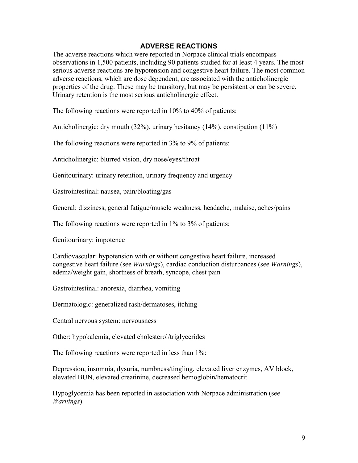## **ADVERSE REACTIONS**

The adverse reactions which were reported in Norpace clinical trials encompass observations in 1,500 patients, including 90 patients studied for at least 4 years. The most serious adverse reactions are hypotension and congestive heart failure. The most common adverse reactions, which are dose dependent, are associated with the anticholinergic properties of the drug. These may be transitory, but may be persistent or can be severe. Urinary retention is the most serious anticholinergic effect.

The following reactions were reported in 10% to 40% of patients:

Anticholinergic: dry mouth (32%), urinary hesitancy (14%), constipation (11%)

The following reactions were reported in 3% to 9% of patients:

Anticholinergic: blurred vision, dry nose/eyes/throat

Genitourinary: urinary retention, urinary frequency and urgency

Gastrointestinal: nausea, pain/bloating/gas

General: dizziness, general fatigue/muscle weakness, headache, malaise, aches/pains

The following reactions were reported in 1% to 3% of patients:

Genitourinary: impotence

Cardiovascular: hypotension with or without congestive heart failure, increased congestive heart failure (see *Warnings*), cardiac conduction disturbances (see *Warnings*), edema/weight gain, shortness of breath, syncope, chest pain

Gastrointestinal: anorexia, diarrhea, vomiting

Dermatologic: generalized rash/dermatoses, itching

Central nervous system: nervousness

Other: hypokalemia, elevated cholesterol/triglycerides

The following reactions were reported in less than 1%:

Depression, insomnia, dysuria, numbness/tingling, elevated liver enzymes, AV block, elevated BUN, elevated creatinine, decreased hemoglobin/hematocrit

Hypoglycemia has been reported in association with Norpace administration (see *Warnings*).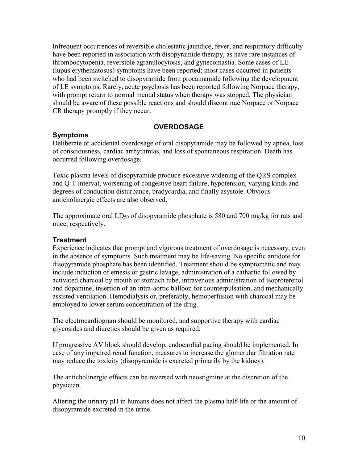Infrequent occurrences of reversible cholestatic jaundice, fever, and respiratory difficulty have been reported in association with disopyramide therapy, as have rare instances of thrombocytopenia, reversible agranulocytosis, and gynecomastia. Some cases of LE (lupus erythematosus) symptoms have been reported; most cases occurred in patients who had been switched to disopyramide from procainamide following the development of LE symptoms. Rarely, acute psychosis has been reported following Norpace therapy, with prompt return to normal mental status when therapy was stopped. The physician should be aware of these possible reactions and should discontinue Norpace or Norpace CR therapy promptly if they occur.

# **OVERDOSAGE**

# **Symptoms**

Deliberate or accidental overdosage of oral disopyramide may be followed by apnea, loss of consciousness, cardiac arrhythmias, and loss of spontaneous respiration. Death has occurred following overdosage.

Toxic plasma levels of disopyramide produce excessive widening of the QRS complex and Q-T interval, worsening of congestive heart failure, hypotension, varying kinds and degrees of conduction disturbance, bradycardia, and finally asystole. Obvious anticholinergic effects are also observed.

The approximate oral LD<sub>50</sub> of disopyramide phosphate is 580 and 700 mg/kg for rats and mice, respectively.

# **Treatment**

Experience indicates that prompt and vigorous treatment of overdosage is necessary, even in the absence of symptoms. Such treatment may be life-saving. No specific antidote for disopyramide phosphate has been identified. Treatment should be symptomatic and may include induction of emesis or gastric lavage, administration of a cathartic followed by activated charcoal by mouth or stomach tube, intravenous administration of isoproterenol and dopamine, insertion of an intra-aortic balloon for counterpulsation, and mechanically assisted ventilation. Hemodialysis or, preferably, hemoperfusion with charcoal may be employed to lower serum concentration of the drug.

The electrocardiogram should be monitored, and supportive therapy with cardiac glycosides and diuretics should be given as required.

If progressive AV block should develop, endocardial pacing should be implemented. In case of any impaired renal function, measures to increase the glomerular filtration rate may reduce the toxicity (disopyramide is excreted primarily by the kidney).

The anticholinergic effects can be reversed with neostigmine at the discretion of the physician.

Altering the urinary pH in humans does not affect the plasma half-life or the amount of disopyramide excreted in the urine.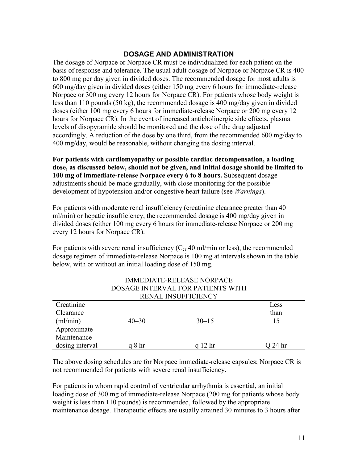# **DOSAGE AND ADMINISTRATION**

The dosage of Norpace or Norpace CR must be individualized for each patient on the basis of response and tolerance. The usual adult dosage of Norpace or Norpace CR is 400 to 800 mg per day given in divided doses. The recommended dosage for most adults is 600 mg/day given in divided doses (either 150 mg every 6 hours for immediate-release Norpace or 300 mg every 12 hours for Norpace CR). For patients whose body weight is less than 110 pounds (50 kg), the recommended dosage is 400 mg/day given in divided doses (either 100 mg every 6 hours for immediate-release Norpace or 200 mg every 12 hours for Norpace CR). In the event of increased anticholinergic side effects, plasma levels of disopyramide should be monitored and the dose of the drug adjusted accordingly. A reduction of the dose by one third, from the recommended 600 mg/day to 400 mg/day, would be reasonable, without changing the dosing interval.

**For patients with cardiomyopathy or possible cardiac decompensation, a loading dose, as discussed below, should not be given, and initial dosage should be limited to 100 mg of immediate-release Norpace every 6 to 8 hours.** Subsequent dosage adjustments should be made gradually, with close monitoring for the possible development of hypotension and/or congestive heart failure (see *Warnings*).

For patients with moderate renal insufficiency (creatinine clearance greater than 40 ml/min) or hepatic insufficiency, the recommended dosage is 400 mg/day given in divided doses (either 100 mg every 6 hours for immediate-release Norpace or 200 mg every 12 hours for Norpace CR).

For patients with severe renal insufficiency  $(C_{cr} 40 \text{ ml/min or less})$ , the recommended dosage regimen of immediate-release Norpace is 100 mg at intervals shown in the table below, with or without an initial loading dose of 150 mg.

| <b>RENAL INSUFFICIENCY</b> |           |           |         |  |
|----------------------------|-----------|-----------|---------|--|
| Creatinine                 |           |           | Less    |  |
| Clearance                  |           |           | than    |  |
| (ml/min)                   | $40 - 30$ | $30 - 15$ | 15      |  |
| Approximate                |           |           |         |  |
| Maintenance-               |           |           |         |  |
| dosing interval            | g 8 hr    | q 12 hr   | Q 24 hr |  |

# IMMEDIATE-RELEASE NORPACE DOSAGE INTERVAL FOR PATIENTS WITH

The above dosing schedules are for Norpace immediate-release capsules; Norpace CR is not recommended for patients with severe renal insufficiency.

For patients in whom rapid control of ventricular arrhythmia is essential, an initial loading dose of 300 mg of immediate-release Norpace (200 mg for patients whose body weight is less than 110 pounds) is recommended, followed by the appropriate maintenance dosage. Therapeutic effects are usually attained 30 minutes to 3 hours after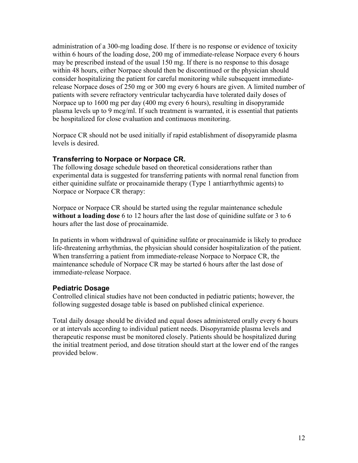administration of a 300-mg loading dose. If there is no response or evidence of toxicity within 6 hours of the loading dose, 200 mg of immediate-release Norpace every 6 hours may be prescribed instead of the usual 150 mg. If there is no response to this dosage within 48 hours, either Norpace should then be discontinued or the physician should consider hospitalizing the patient for careful monitoring while subsequent immediaterelease Norpace doses of 250 mg or 300 mg every 6 hours are given. A limited number of patients with severe refractory ventricular tachycardia have tolerated daily doses of Norpace up to 1600 mg per day (400 mg every 6 hours), resulting in disopyramide plasma levels up to 9 mcg/ml. If such treatment is warranted, it is essential that patients be hospitalized for close evaluation and continuous monitoring.

Norpace CR should not be used initially if rapid establishment of disopyramide plasma levels is desired.

# **Transferring to Norpace or Norpace CR.**

The following dosage schedule based on theoretical considerations rather than experimental data is suggested for transferring patients with normal renal function from either quinidine sulfate or procainamide therapy (Type 1 antiarrhythmic agents) to Norpace or Norpace CR therapy:

Norpace or Norpace CR should be started using the regular maintenance schedule **without a loading dose** 6 to 12 hours after the last dose of quinidine sulfate or 3 to 6 hours after the last dose of procainamide.

In patients in whom withdrawal of quinidine sulfate or procainamide is likely to produce life-threatening arrhythmias, the physician should consider hospitalization of the patient. When transferring a patient from immediate-release Norpace to Norpace CR, the maintenance schedule of Norpace CR may be started 6 hours after the last dose of immediate-release Norpace.

# **Pediatric Dosage**

Controlled clinical studies have not been conducted in pediatric patients; however, the following suggested dosage table is based on published clinical experience.

Total daily dosage should be divided and equal doses administered orally every 6 hours or at intervals according to individual patient needs. Disopyramide plasma levels and therapeutic response must be monitored closely. Patients should be hospitalized during the initial treatment period, and dose titration should start at the lower end of the ranges provided below.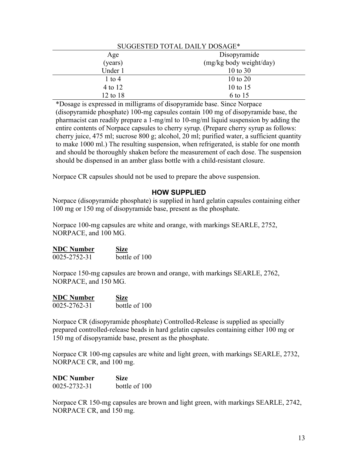| SUGGESTED TOTAL DAILY DOSAGE* |                         |  |
|-------------------------------|-------------------------|--|
| Age                           | Disopyramide            |  |
| (years)                       | (mg/kg body weight/day) |  |
| Under 1                       | $10 \text{ to } 30$     |  |
| $1$ to $4$                    | 10 to 20                |  |
| 4 to 12                       | 10 to $15$              |  |
| 12 to 18                      | 6 to 15                 |  |

\*Dosage is expressed in milligrams of disopyramide base. Since Norpace (disopyramide phosphate) 100-mg capsules contain 100 mg of disopyramide base, the pharmacist can readily prepare a 1-mg/ml to 10-mg/ml liquid suspension by adding the entire contents of Norpace capsules to cherry syrup. (Prepare cherry syrup as follows: cherry juice, 475 ml; sucrose 800 g; alcohol, 20 ml; purified water, a sufficient quantity to make 1000 ml.) The resulting suspension, when refrigerated, is stable for one month and should be thoroughly shaken before the measurement of each dose. The suspension should be dispensed in an amber glass bottle with a child-resistant closure.

Norpace CR capsules should not be used to prepare the above suspension.

# **HOW SUPPLIED**

Norpace (disopyramide phosphate) is supplied in hard gelatin capsules containing either 100 mg or 150 mg of disopyramide base, present as the phosphate.

Norpace 100-mg capsules are white and orange, with markings SEARLE, 2752, NORPACE, and 100 MG.

**NDC Number Size** 0025-2752-31 bottle of 100

Norpace 150-mg capsules are brown and orange, with markings SEARLE, 2762, NORPACE, and 150 MG.

**NDC Number Size** 0025-2762-31 bottle of 100

Norpace CR (disopyramide phosphate) Controlled-Release is supplied as specially prepared controlled-release beads in hard gelatin capsules containing either 100 mg or 150 mg of disopyramide base, present as the phosphate.

Norpace CR 100-mg capsules are white and light green, with markings SEARLE, 2732, NORPACE CR, and 100 mg.

| <b>NDC</b> Number | <b>Size</b>   |
|-------------------|---------------|
| 0025-2732-31      | bottle of 100 |

Norpace CR 150-mg capsules are brown and light green, with markings SEARLE, 2742, NORPACE CR, and 150 mg.